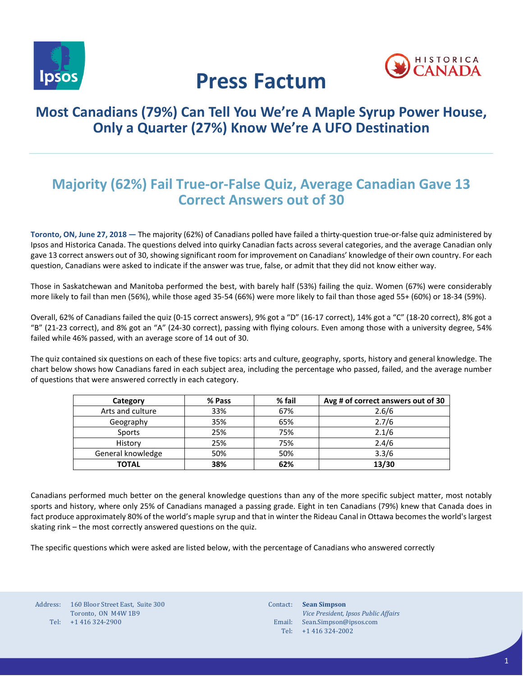



# **Press Factum**

### **Most Canadians (79%) Can Tell You We're A Maple Syrup Power House, Only a Quarter (27%) Know We're A UFO Destination**

# **Majority (62%) Fail True-or-False Quiz, Average Canadian Gave 13 Correct Answers out of 30**

**Toronto, ON, June 27, 2018 —** The majority (62%) of Canadians polled have failed a thirty-question true-or-false quiz administered by Ipsos and Historica Canada. The questions delved into quirky Canadian facts across several categories, and the average Canadian only gave 13 correct answers out of 30, showing significant room for improvement on Canadians' knowledge of their own country. For each question, Canadians were asked to indicate if the answer was true, false, or admit that they did not know either way.

Those in Saskatchewan and Manitoba performed the best, with barely half (53%) failing the quiz. Women (67%) were considerably more likely to fail than men (56%), while those aged 35-54 (66%) were more likely to fail than those aged 55+ (60%) or 18-34 (59%).

Overall, 62% of Canadians failed the quiz (0-15 correct answers), 9% got a "D" (16-17 correct), 14% got a "C" (18-20 correct), 8% got a "B" (21-23 correct), and 8% got an "A" (24-30 correct), passing with flying colours. Even among those with a university degree, 54% failed while 46% passed, with an average score of 14 out of 30.

The quiz contained six questions on each of these five topics: arts and culture, geography, sports, history and general knowledge. The chart below shows how Canadians fared in each subject area, including the percentage who passed, failed, and the average number of questions that were answered correctly in each category.

| Category          | % Pass | % fail | Avg # of correct answers out of 30 |
|-------------------|--------|--------|------------------------------------|
| Arts and culture  | 33%    | 67%    | 2.6/6                              |
| Geography         | 35%    | 65%    | 2.7/6                              |
| Sports            | 25%    | 75%    | 2.1/6                              |
| History           | 25%    | 75%    | 2.4/6                              |
| General knowledge | 50%    | 50%    | 3.3/6                              |
| <b>TOTAL</b>      | 38%    | 62%    | 13/30                              |

Canadians performed much better on the general knowledge questions than any of the more specific subject matter, most notably sports and history, where only 25% of Canadians managed a passing grade. Eight in ten Canadians (79%) knew that Canada does in fact produce approximately 80% of the world's maple syrup and that in winter the Rideau Canal in Ottawa becomes the world's largest skating rink – the most correctly answered questions on the quiz.

The specific questions which were asked are listed below, with the percentage of Canadians who answered correctly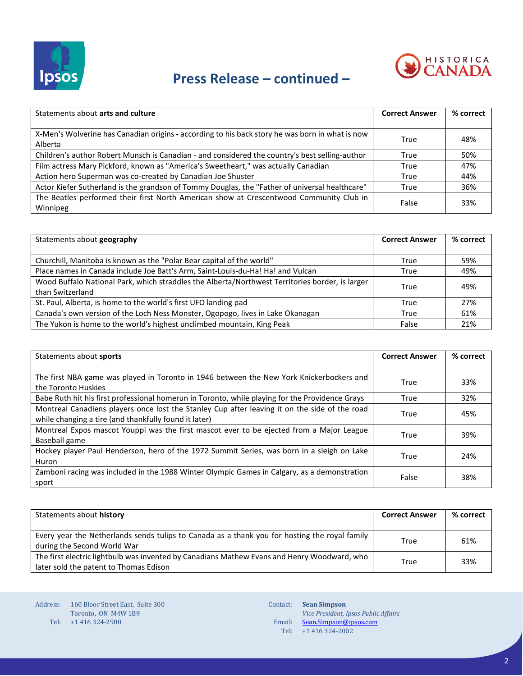

# **Press Release – continued –**



| Statements about arts and culture                                                               | <b>Correct Answer</b> | % correct |
|-------------------------------------------------------------------------------------------------|-----------------------|-----------|
|                                                                                                 |                       |           |
| X-Men's Wolverine has Canadian origins - according to his back story he was born in what is now | True                  | 48%       |
| Alberta                                                                                         |                       |           |
| Children's author Robert Munsch is Canadian - and considered the country's best selling-author  | True                  | 50%       |
| Film actress Mary Pickford, known as "America's Sweetheart," was actually Canadian              | True                  | 47%       |
| Action hero Superman was co-created by Canadian Joe Shuster                                     | True                  | 44%       |
| Actor Kiefer Sutherland is the grandson of Tommy Douglas, the "Father of universal healthcare"  | True                  | 36%       |
| The Beatles performed their first North American show at Crescentwood Community Club in         | False                 | 33%       |
| Winnipeg                                                                                        |                       |           |

| Statements about geography                                                                                          | <b>Correct Answer</b> | % correct |
|---------------------------------------------------------------------------------------------------------------------|-----------------------|-----------|
| Churchill, Manitoba is known as the "Polar Bear capital of the world"                                               | True                  | 59%       |
| Place names in Canada include Joe Batt's Arm, Saint-Louis-du-Ha! Ha! and Vulcan                                     | True                  | 49%       |
| Wood Buffalo National Park, which straddles the Alberta/Northwest Territories border, is larger<br>than Switzerland | True                  | 49%       |
| St. Paul, Alberta, is home to the world's first UFO landing pad                                                     | True                  | 27%       |
| Canada's own version of the Loch Ness Monster, Ogopogo, lives in Lake Okanagan                                      | True                  | 61%       |
| The Yukon is home to the world's highest unclimbed mountain, King Peak                                              | False                 | 21%       |

| Statements about sports                                                                         | <b>Correct Answer</b> | % correct |
|-------------------------------------------------------------------------------------------------|-----------------------|-----------|
|                                                                                                 |                       |           |
| The first NBA game was played in Toronto in 1946 between the New York Knickerbockers and        | True                  | 33%       |
| the Toronto Huskies                                                                             |                       |           |
| Babe Ruth hit his first professional homerun in Toronto, while playing for the Providence Grays | True                  | 32%       |
| Montreal Canadiens players once lost the Stanley Cup after leaving it on the side of the road   | True                  | 45%       |
| while changing a tire (and thankfully found it later)                                           |                       |           |
| Montreal Expos mascot Youppi was the first mascot ever to be ejected from a Major League        | True                  | 39%       |
| Baseball game                                                                                   |                       |           |
| Hockey player Paul Henderson, hero of the 1972 Summit Series, was born in a sleigh on Lake      | True                  | 24%       |
| Huron                                                                                           |                       |           |
| Zamboni racing was included in the 1988 Winter Olympic Games in Calgary, as a demonstration     | False                 |           |
| sport                                                                                           |                       | 38%       |

| Statements about history                                                                                                              | <b>Correct Answer</b> | % correct |
|---------------------------------------------------------------------------------------------------------------------------------------|-----------------------|-----------|
| Every year the Netherlands sends tulips to Canada as a thank you for hosting the royal family<br>during the Second World War          | True                  | 61%       |
| The first electric lightbulb was invented by Canadians Mathew Evans and Henry Woodward, who<br>later sold the patent to Thomas Edison | True                  | 33%       |

Contact: **Sean Simpson** Email: Tel: *Vice President, Ipsos Public Affairs* [Sean.Simpson@ipsos.com](mailto:Sean.Simpson@ipsos.com) +1 416 324-2002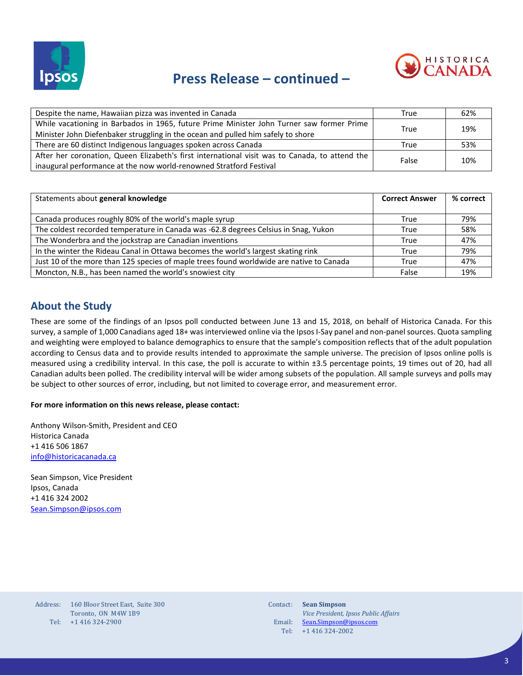

## **Press Release – continued –**



| Despite the name, Hawaiian pizza was invented in Canada                                        | True  | 62% |
|------------------------------------------------------------------------------------------------|-------|-----|
| While vacationing in Barbados in 1965, future Prime Minister John Turner saw former Prime      |       | 19% |
| Minister John Diefenbaker struggling in the ocean and pulled him safely to shore               | True  |     |
| There are 60 distinct Indigenous languages spoken across Canada                                | True  | 53% |
| After her coronation, Queen Elizabeth's first international visit was to Canada, to attend the | False |     |
| inaugural performance at the now world-renowned Stratford Festival                             |       | 10% |

| Statements about general knowledge                                                       | <b>Correct Answer</b> | % correct |
|------------------------------------------------------------------------------------------|-----------------------|-----------|
|                                                                                          |                       |           |
| Canada produces roughly 80% of the world's maple syrup                                   | True                  | 79%       |
| The coldest recorded temperature in Canada was -62.8 degrees Celsius in Snag, Yukon      | True                  | 58%       |
| The Wonderbra and the jockstrap are Canadian inventions                                  | True                  | 47%       |
| In the winter the Rideau Canal in Ottawa becomes the world's largest skating rink        | True                  | 79%       |
| Just 10 of the more than 125 species of maple trees found worldwide are native to Canada | True                  | 47%       |
| Moncton, N.B., has been named the world's snowiest city                                  | False                 | 19%       |

### **About the Study**

These are some of the findings of an Ipsos poll conducted between June 13 and 15, 2018, on behalf of Historica Canada. For this survey, a sample of 1,000 Canadians aged 18+ was interviewed online via the Ipsos I-Say panel and non-panel sources. Quota sampling and weighting were employed to balance demographics to ensure that the sample's composition reflects that of the adult population according to Census data and to provide results intended to approximate the sample universe. The precision of Ipsos online polls is measured using a credibility interval. In this case, the poll is accurate to within ±3.5 percentage points, 19 times out of 20, had all Canadian adults been polled. The credibility interval will be wider among subsets of the population. All sample surveys and polls may be subject to other sources of error, including, but not limited to coverage error, and measurement error.

#### **For more information on this news release, please contact:**

Anthony Wilson-Smith, President and CEO Historica Canada +1 416 506 1867 [info@historicacanada.ca](mailto:info@historicacanada.ca)

Sean Simpson, Vice President Ipsos, Canada +1 416 324 2002 [Sean.Simpson@ipsos.com](mailto:Sean.Simpson@ipsos.com)

| Address: | 160 Bloor Street East, Suite 300 |
|----------|----------------------------------|
|          | Toronto, ON M4W 1B9              |
| Tel:     | $+1$ 416 324-2900                |

Contact: **Sean Simpson** Email: Tel: *Vice President, Ipsos Public Affairs* [Sean.Simpson@ipsos.com](mailto:Sean.Simpson@ipsos.com) +1 416 324-2002